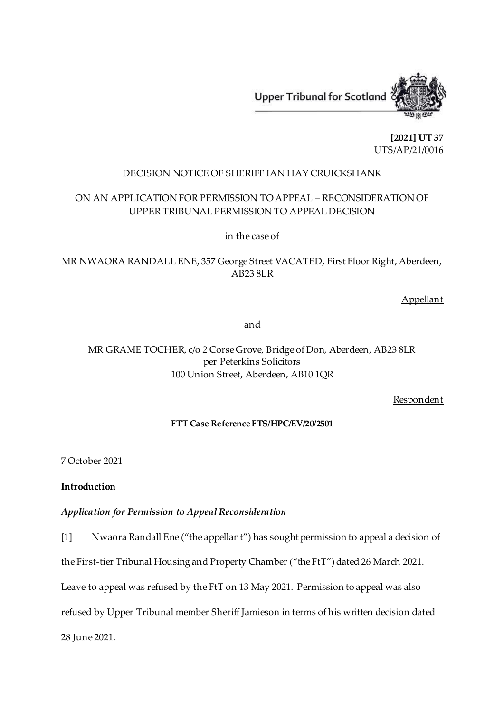

**[2021] UT 37** UTS/AP/21/0016

#### DECISION NOTICE OF SHERIFF IAN HAY CRUICKSHANK

## ON AN APPLICATION FOR PERMISSION TO APPEAL – RECONSIDERATION OF UPPER TRIBUNAL PERMISSION TO APPEAL DECISION

in the case of

MR NWAORA RANDALL ENE, 357 George Street VACATED, First Floor Right, Aberdeen, AB23 8LR

Appellant

and

# MR GRAME TOCHER, c/o 2 Corse Grove, Bridge of Don, Aberdeen, AB23 8LR per Peterkins Solicitors 100 Union Street, Aberdeen, AB10 1QR

Respondent

### **FTT Case Reference FTS/HPC/EV/20/2501**

7 October 2021

**Introduction**

*Application for Permission to Appeal Reconsideration*

[1] Nwaora Randall Ene ("the appellant") has sought permission to appeal a decision of

the First-tier Tribunal Housing and Property Chamber ("the FtT") dated 26 March 2021.

Leave to appeal was refused by the FtT on 13 May 2021. Permission to appeal was also

refused by Upper Tribunal member Sheriff Jamieson in terms of his written decision dated

28 June 2021.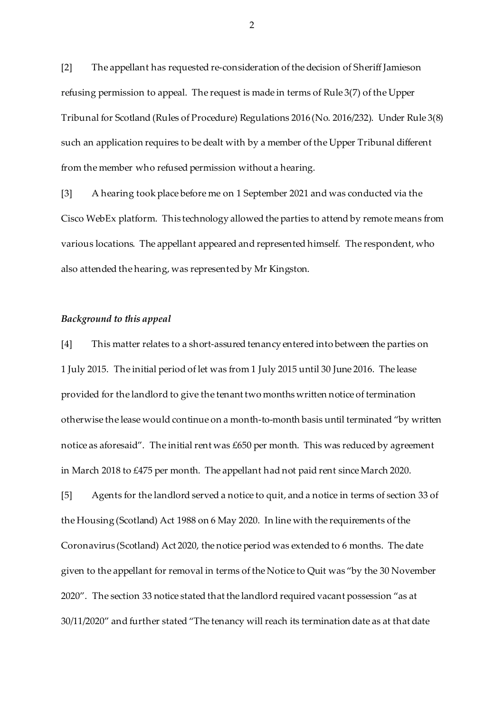[2] The appellant has requested re-consideration of the decision of Sheriff Jamieson refusing permission to appeal. The request is made in terms of Rule 3(7) of the Upper Tribunal for Scotland (Rules of Procedure) Regulations 2016 (No. 2016/232). Under Rule 3(8) such an application requires to be dealt with by a member of the Upper Tribunal different from the member who refused permission without a hearing.

[3] A hearing took place before me on 1 September 2021 and was conducted via the Cisco WebEx platform. This technology allowed the parties to attend by remote means from various locations. The appellant appeared and represented himself. The respondent, who also attended the hearing, was represented by Mr Kingston.

#### *Background to this appeal*

[4] This matter relates to a short-assured tenancy entered into between the parties on 1 July 2015. The initial period of let was from 1 July 2015 until 30 June 2016. The lease provided for the landlord to give the tenant two months written notice of termination otherwise the lease would continue on a month-to-month basis until terminated "by written notice as aforesaid". The initial rent was £650 per month. This was reduced by agreement in March 2018 to £475 per month. The appellant had not paid rent since March 2020.

[5] Agents for the landlord served a notice to quit, and a notice in terms of section 33 of the Housing (Scotland) Act 1988 on 6 May 2020. In line with the requirements of the Coronavirus (Scotland) Act 2020, the notice period was extended to 6 months. The date given to the appellant for removal in terms of the Notice to Quit was "by the 30 November 2020". The section 33 notice stated that the landlord required vacant possession "as at 30/11/2020" and further stated "The tenancy will reach its termination date as at that date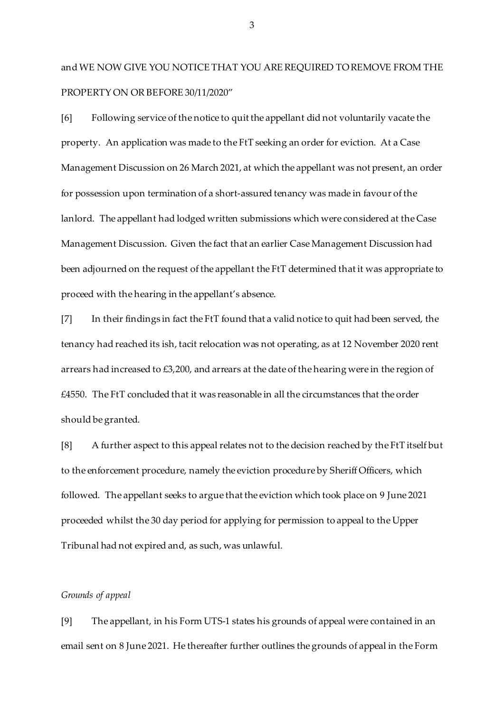and WE NOW GIVE YOU NOTICE THAT YOU ARE REQUIRED TO REMOVE FROM THE PROPERTY ON OR BEFORE 30/11/2020"

[6] Following service of the notice to quit the appellant did not voluntarily vacate the property. An application was made to the FtT seeking an order for eviction. At a Case Management Discussion on 26 March 2021, at which the appellant was not present, an order for possession upon termination of a short-assured tenancy was made in favour of the lanlord. The appellant had lodged written submissions which were considered at the Case Management Discussion. Given the fact that an earlier Case Management Discussion had been adjourned on the request of the appellant the FtT determined that it was appropriate to proceed with the hearing in the appellant's absence.

[7] In their findings in fact the FtT found that a valid notice to quit had been served, the tenancy had reached its ish, tacit relocation was not operating, as at 12 November 2020 rent arrears had increased to £3,200, and arrears at the date of the hearing were in the region of  $£4550.$  The FtT concluded that it was reasonable in all the circumstances that the order should be granted.

[8] A further aspect to this appeal relates not to the decision reached by the FtT itself but to the enforcement procedure, namely the eviction procedure by Sheriff Officers, which followed. The appellant seeks to argue that the eviction which took place on 9 June 2021 proceeded whilst the 30 day period for applying for permission to appeal to the Upper Tribunal had not expired and, as such, was unlawful.

#### *Grounds of appeal*

[9] The appellant, in his Form UTS-1 states his grounds of appeal were contained in an email sent on 8 June 2021. He thereafter further outlines the grounds of appeal in the Form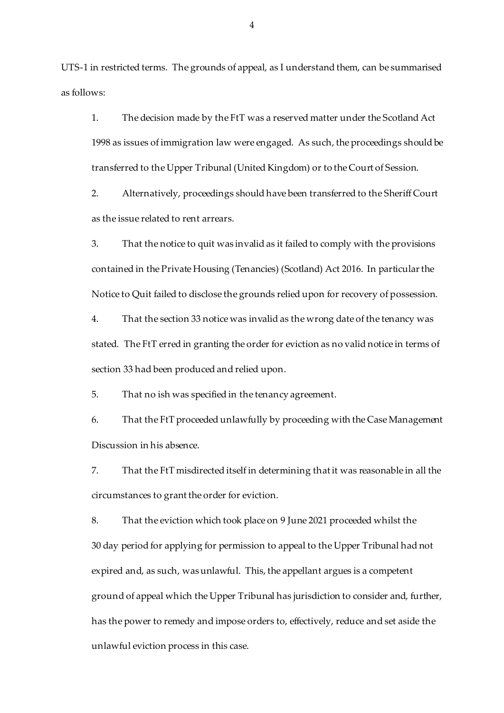UTS-1 in restricted terms. The grounds of appeal, as I understand them, can be summarised as follows:

1. The decision made by the FtT was a reserved matter under the Scotland Act 1998 as issues of immigration law were engaged. As such, the proceedings should be transferred to the Upper Tribunal (United Kingdom) or to the Court of Session.

2. Alternatively, proceedings should have been transferred to the Sheriff Court as the issue related to rent arrears.

3. That the notice to quit was invalid as it failed to comply with the provisions contained in the Private Housing (Tenancies) (Scotland) Act 2016. In particular the Notice to Quit failed to disclose the grounds relied upon for recovery of possession.

4. That the section 33 notice was invalid as the wrong date of the tenancy was stated. The FtT erred in granting the order for eviction as no valid notice in terms of section 33 had been produced and relied upon.

5. That no ish was specified in the tenancy agreement.

6. That the FtT proceeded unlawfully by proceeding with the Case Management Discussion in his absence.

7. That the FtT misdirected itself in determining that it was reasonable in all the circumstances to grant the order for eviction.

8. That the eviction which took place on 9 June 2021 proceeded whilst the 30 day period for applying for permission to appeal to the Upper Tribunal had not expired and, as such, was unlawful. This, the appellant argues is a competent ground of appeal which the Upper Tribunal has jurisdiction to consider and, further, has the power to remedy and impose orders to, effectively, reduce and set aside the unlawful eviction process in this case.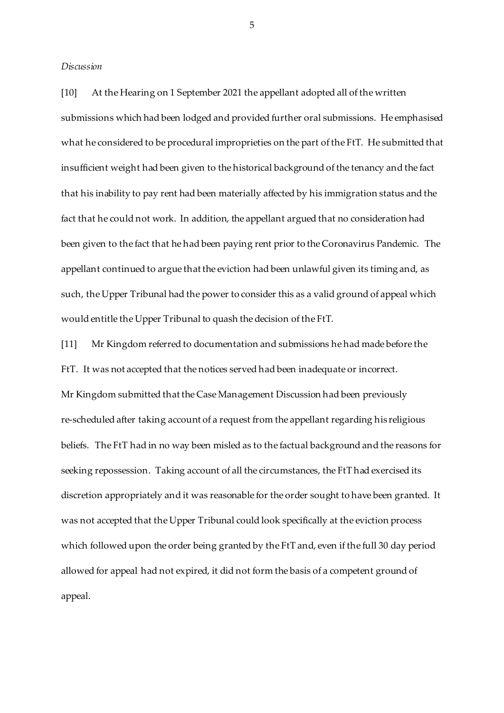*Discussion*

[10] At the Hearing on 1 September 2021 the appellant adopted all of the written submissions which had been lodged and provided further oral submissions. He emphasised what he considered to be procedural improprieties on the part of the FtT. He submitted that insufficient weight had been given to the historical background of the tenancy and the fact that his inability to pay rent had been materially affected by his immigration status and the fact that he could not work. In addition, the appellant argued that no consideration had been given to the fact that he had been paying rent prior to the Coronavirus Pandemic. The appellant continued to argue that the eviction had been unlawful given its timing and, as such, the Upper Tribunal had the power to consider this as a valid ground of appeal which would entitle the Upper Tribunal to quash the decision of the FtT.

[11] Mr Kingdom referred to documentation and submissions he had made before the FtT. It was not accepted that the notices served had been inadequate or incorrect. Mr Kingdom submitted that the Case Management Discussion had been previously re-scheduled after taking account of a request from the appellant regarding his religious beliefs. The FtT had in no way been misled as to the factual background and the reasons for seeking repossession. Taking account of all the circumstances, the FtT had exercised its discretion appropriately and it was reasonable for the order sought to have been granted. It was not accepted that the Upper Tribunal could look specifically at the eviction process which followed upon the order being granted by the FtT and, even if the full 30 day period allowed for appeal had not expired, it did not form the basis of a competent ground of appeal.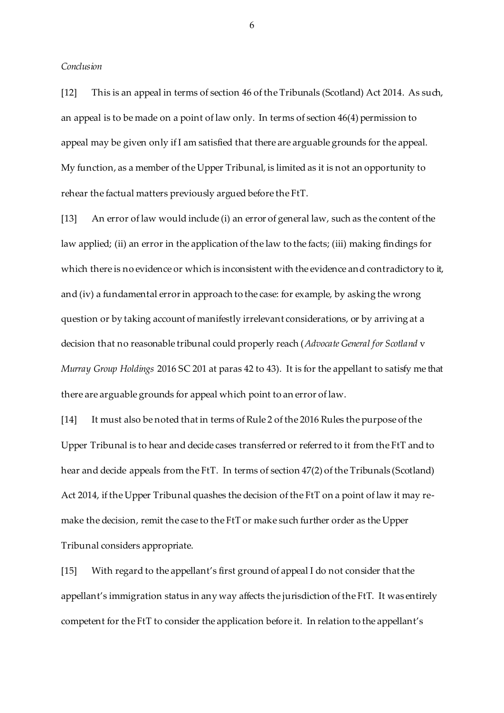*Conclusion*

[12] This is an appeal in terms of section 46 of the Tribunals (Scotland) Act 2014. As such, an appeal is to be made on a point of law only. In terms of section 46(4) permission to appeal may be given only if I am satisfied that there are arguable grounds for the appeal. My function, as a member of the Upper Tribunal, is limited as it is not an opportunity to rehear the factual matters previously argued before the FtT.

[13] An error of law would include (i) an error of general law, such as the content of the law applied; (ii) an error in the application of the law to the facts; (iii) making findings for which there is no evidence or which is inconsistent with the evidence and contradictory to it, and (iv) a fundamental error in approach to the case: for example, by asking the wrong question or by taking account of manifestly irrelevant considerations, or by arriving at a decision that no reasonable tribunal could properly reach (*Advocate General for Scotland* v *Murray Group Holdings* 2016 SC 201 at paras 42 to 43). It is for the appellant to satisfy me that there are arguable grounds for appeal which point to an error of law.

[14] It must also be noted that in terms of Rule 2 of the 2016 Rules the purpose of the Upper Tribunal is to hear and decide cases transferred or referred to it from the FtT and to hear and decide appeals from the FtT. In terms of section 47(2) of the Tribunals (Scotland) Act 2014, if the Upper Tribunal quashes the decision of the FtT on a point of law it may remake the decision, remit the case to the FtT or make such further order as the Upper Tribunal considers appropriate.

[15] With regard to the appellant's first ground of appeal I do not consider that the appellant's immigration status in any way affects the jurisdiction of the FtT. It was entirely competent for the FtT to consider the application before it. In relation to the appellant's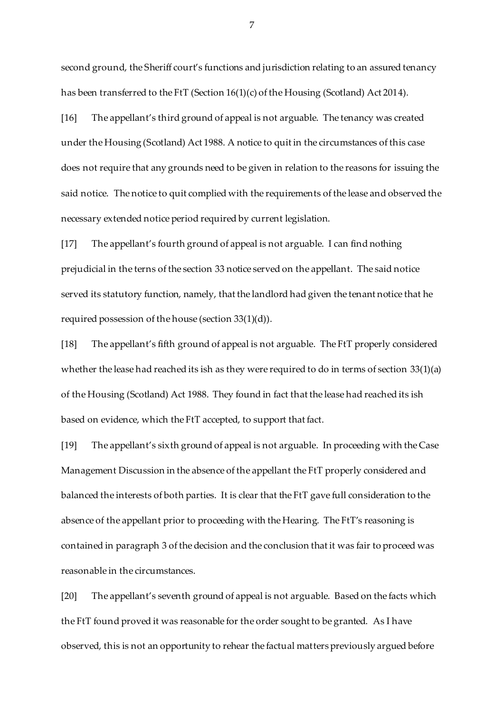second ground, the Sheriff court's functions and jurisdiction relating to an assured tenancy has been transferred to the FtT (Section 16(1)(c) of the Housing (Scotland) Act 2014).

[16] The appellant's third ground of appeal is not arguable. The tenancy was created under the Housing (Scotland) Act 1988. A notice to quit in the circumstances of this case does not require that any grounds need to be given in relation to the reasons for issuing the said notice. The notice to quit complied with the requirements of the lease and observed the necessary extended notice period required by current legislation.

[17] The appellant's fourth ground of appeal is not arguable. I can find nothing prejudicial in the terns of the section 33 notice served on the appellant. The said notice served its statutory function, namely, that the landlord had given the tenant notice that he required possession of the house (section 33(1)(d)).

[18] The appellant's fifth ground of appeal is not arguable. The FtT properly considered whether the lease had reached its ish as they were required to do in terms of section 33(1)(a) of the Housing (Scotland) Act 1988. They found in fact that the lease had reached its ish based on evidence, which the FtT accepted, to support that fact.

[19] The appellant's sixth ground of appeal is not arguable. In proceeding with the Case Management Discussion in the absence of the appellant the FtT properly considered and balanced the interests of both parties. It is clear that the FtT gave full consideration to the absence of the appellant prior to proceeding with the Hearing. The FtT's reasoning is contained in paragraph 3 of the decision and the conclusion that it was fair to proceed was reasonable in the circumstances.

[20] The appellant's seventh ground of appeal is not arguable. Based on the facts which the FtT found proved it was reasonable for the order sought to be granted. As I have observed, this is not an opportunity to rehear the factual matters previously argued before